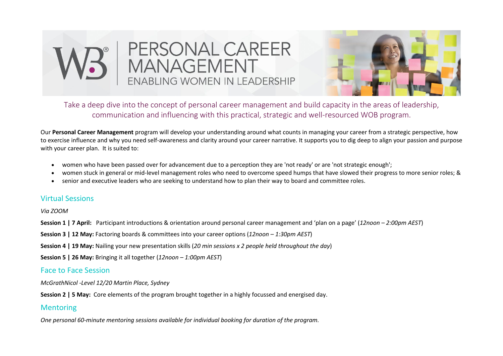



Take a deep dive into the concept of personal career management and build capacity in the areas of leadership, communication and influencing with this practical, strategic and well-resourced WOB program.

Our **Personal Career Management** program will develop your understanding around what counts in managing your career from a strategic perspective, how to exercise influence and why you need self-awareness and clarity around your career narrative. It supports you to dig deep to align your passion and purpose with your career plan. It is suited to:

- women who have been passed over for advancement due to a perception they are 'not ready' or are 'not strategic enough';
- women stuck in general or mid-level management roles who need to overcome speed humps that have slowed their progress to more senior roles; &
- senior and executive leaders who are seeking to understand how to plan their way to board and committee roles.

## Virtual Sessions

*Via ZOOM*

**Session 1 | 7 April:** Participant introductions & orientation around personal career management and 'plan on a page' (*12noon – 2:00pm AEST*)

**Session 3 | 12 May:** Factoring boards & committees into your career options (*12noon – 1:30pm AEST*)

**Session 4 | 19 May:** Nailing your new presentation skills (*20 min sessions x 2 people held throughout the day*)

**Session 5 | 26 May:** Bringing it all together (*12noon – 1:00pm AEST*)

## Face to Face Session

*McGrathNicol -Level 12/20 Martin Place, Sydney*

**Session 2 | 5 May:** Core elements of the program brought together in a highly focussed and energised day.

## **Mentoring**

*One personal 60-minute mentoring sessions available for individual booking for duration of the program.*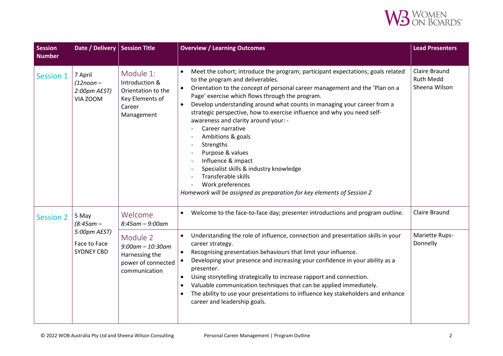

| <b>Session</b><br><b>Number</b> | Date / Delivery   Session Title                                            |                                                                                              | <b>Overview / Learning Outcomes</b>                                                                                                                                                                                                                                                                                                                                                                                                                                                                                                                                                                                                                                                                                                            | <b>Lead Presenters</b>                             |
|---------------------------------|----------------------------------------------------------------------------|----------------------------------------------------------------------------------------------|------------------------------------------------------------------------------------------------------------------------------------------------------------------------------------------------------------------------------------------------------------------------------------------------------------------------------------------------------------------------------------------------------------------------------------------------------------------------------------------------------------------------------------------------------------------------------------------------------------------------------------------------------------------------------------------------------------------------------------------------|----------------------------------------------------|
| <b>Session 1</b>                | 7 April<br>$(12noon -$<br>2:00pm AEST)<br>VIA ZOOM                         | Module 1:<br>Introduction &<br>Orientation to the<br>Key Elements of<br>Career<br>Management | Meet the cohort; introduce the program; participant expectations; goals related<br>to the program and deliverables.<br>Orientation to the concept of personal career management and the 'Plan on a<br>Page' exercise which flows through the program.<br>Develop understanding around what counts in managing your career from a<br>strategic perspective, how to exercise influence and why you need self-<br>awareness and clarity around your: -<br>Career narrative<br>Ambitions & goals<br>Strengths<br>$\overline{\phantom{a}}$<br>Purpose & values<br>Influence & impact<br>Specialist skills & industry knowledge<br>Transferable skills<br>Work preferences<br>Homework will be assigned as preparation for key elements of Session 2 | Claire Braund<br><b>Ruth Medd</b><br>Sheena Wilson |
| <b>Session 2</b>                | 5 May<br>$(8:45$ am –<br>5:00pm AEST)<br>Face to Face<br><b>SYDNEY CBD</b> | Welcome<br>$8:45$ am - $9:00$ am                                                             | Welcome to the face-to-face day; presenter introductions and program outline.<br>$\bullet$                                                                                                                                                                                                                                                                                                                                                                                                                                                                                                                                                                                                                                                     | Claire Braund                                      |
|                                 |                                                                            | Module 2<br>$9:00$ am - 10:30am<br>Harnessing the<br>power of connected<br>communication     | Understanding the role of influence, connection and presentation skills in your<br>career strategy.<br>Recognising presentation behaviours that limit your influence.<br>Developing your presence and increasing your confidence in your ability as a<br>presenter.<br>Using storytelling strategically to increase rapport and connection.<br>Valuable communication techniques that can be applied immediately.<br>$\bullet$<br>The ability to use your presentations to influence key stakeholders and enhance<br>career and leadership goals.                                                                                                                                                                                              | Mariette Rups-<br>Donnelly                         |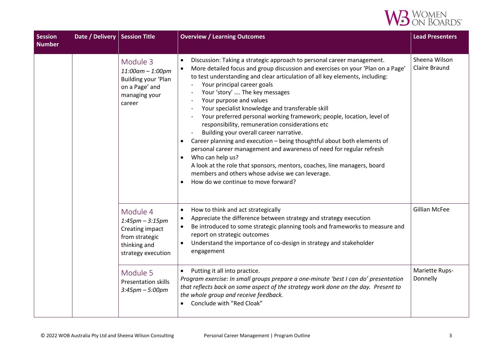

| <b>Session</b><br>Number | Date / Delivery   Session Title |                                                                                                              | <b>Overview / Learning Outcomes</b>                                                                                                                                                                                                                                                                                                                                                                                                                                                                                                                                                                                                                                                                                                                                                                                                                                                                                                                                | <b>Lead Presenters</b>         |
|--------------------------|---------------------------------|--------------------------------------------------------------------------------------------------------------|--------------------------------------------------------------------------------------------------------------------------------------------------------------------------------------------------------------------------------------------------------------------------------------------------------------------------------------------------------------------------------------------------------------------------------------------------------------------------------------------------------------------------------------------------------------------------------------------------------------------------------------------------------------------------------------------------------------------------------------------------------------------------------------------------------------------------------------------------------------------------------------------------------------------------------------------------------------------|--------------------------------|
|                          |                                 | Module 3<br>11:00am - 1:00pm<br>Building your 'Plan<br>on a Page' and<br>managing your<br>career             | Discussion: Taking a strategic approach to personal career management.<br>$\bullet$<br>More detailed focus and group discussion and exercises on your 'Plan on a Page'<br>to test understanding and clear articulation of all key elements, including:<br>Your principal career goals<br>Your 'story'  The key messages<br>Your purpose and values<br>Your specialist knowledge and transferable skill<br>Your preferred personal working framework; people, location, level of<br>responsibility, remuneration considerations etc<br>Building your overall career narrative.<br>Career planning and execution - being thoughtful about both elements of<br>$\bullet$<br>personal career management and awareness of need for regular refresh<br>Who can help us?<br>$\bullet$<br>A look at the role that sponsors, mentors, coaches, line managers, board<br>members and others whose advise we can leverage.<br>How do we continue to move forward?<br>$\bullet$ | Sheena Wilson<br>Claire Braund |
|                          |                                 | Module 4<br>$1:45$ pm – $3:15$ pm<br>Creating impact<br>from strategic<br>thinking and<br>strategy execution | How to think and act strategically<br>$\bullet$<br>Appreciate the difference between strategy and strategy execution<br>Be introduced to some strategic planning tools and frameworks to measure and<br>report on strategic outcomes<br>Understand the importance of co-design in strategy and stakeholder<br>engagement                                                                                                                                                                                                                                                                                                                                                                                                                                                                                                                                                                                                                                           | <b>Gillian McFee</b>           |
|                          |                                 | Module 5<br><b>Presentation skills</b><br>$3:45 \text{pm} - 5:00 \text{pm}$                                  | Putting it all into practice.<br>$\bullet$<br>Program exercise: In small groups prepare a one-minute 'best I can do' presentation<br>that reflects back on some aspect of the strategy work done on the day. Present to<br>the whole group and receive feedback.<br>Conclude with "Red Cloak"<br>$\bullet$                                                                                                                                                                                                                                                                                                                                                                                                                                                                                                                                                                                                                                                         | Mariette Rups-<br>Donnelly     |